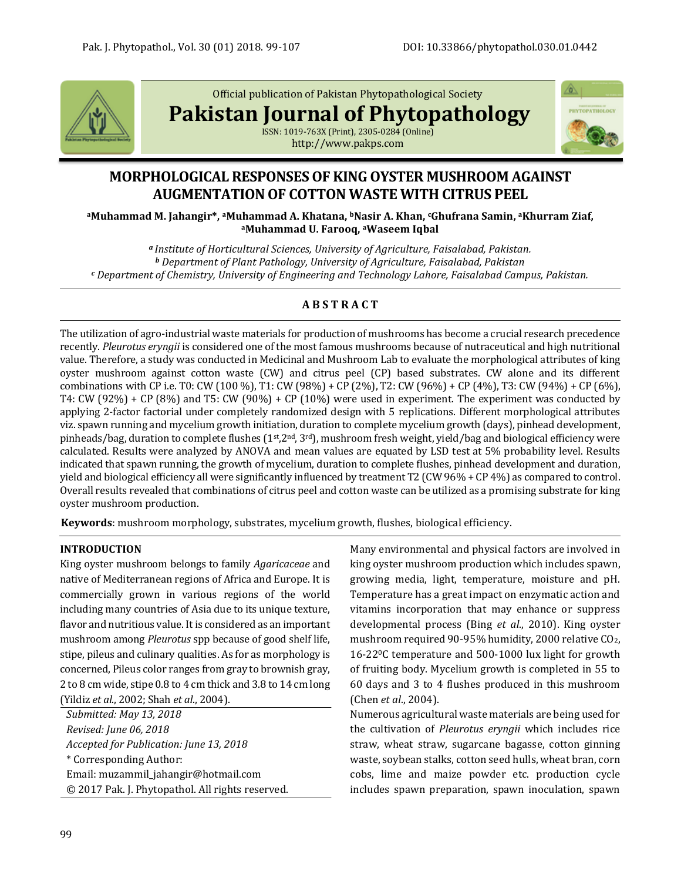

Official publication of Pakistan Phytopathological Society

**Pakistan Journal of Phytopathology**



ISSN: 1019-763X (Print), 2305-0284 (Online) http://www.pakps.com

# **MORPHOLOGICAL RESPONSES OF KING OYSTER MUSHROOM AGAINST AUGMENTATION OF COTTON WASTE WITH CITRUS PEEL**

**<sup>a</sup>Muhammad M. Jahangir\*, aMuhammad A. Khatana, bNasir A. Khan, cGhufrana Samin, <sup>a</sup>Khurram Ziaf, <sup>a</sup>Muhammad U. Farooq, <sup>a</sup>Waseem Iqbal**

*<sup>a</sup>Institute of Horticultural Sciences, University of Agriculture, Faisalabad, Pakistan. <sup>b</sup> Department of Plant Pathology, University of Agriculture, Faisalabad, Pakistan <sup>c</sup> Department of Chemistry, University of Engineering and Technology Lahore, Faisalabad Campus, Pakistan.*

# **A B S T R A C T**

The utilization of agro-industrial waste materials for production of mushrooms has become a crucial research precedence recently. *Pleurotus eryngii* is considered one of the most famous mushrooms because of nutraceutical and high nutritional value. Therefore, a study was conducted in Medicinal and Mushroom Lab to evaluate the morphological attributes of king oyster mushroom against cotton waste (CW) and citrus peel (CP) based substrates. CW alone and its different combinations with CP i.e. T0: CW (100 %), T1: CW (98%) + CP (2%), T2: CW (96%) + CP (4%), T3: CW (94%) + CP (6%), T4: CW (92%) + CP (8%) and T5: CW (90%) + CP (10%) were used in experiment. The experiment was conducted by applying 2-factor factorial under completely randomized design with 5 replications. Different morphological attributes viz. spawn running and mycelium growth initiation, duration to complete mycelium growth (days), pinhead development, pinheads/bag, duration to complete flushes ( $1<sup>st</sup>,2<sup>nd</sup>,3<sup>rd</sup>$ ), mushroom fresh weight, yield/bag and biological efficiency were calculated. Results were analyzed by ANOVA and mean values are equated by LSD test at 5% probability level. Results indicated that spawn running, the growth of mycelium, duration to complete flushes, pinhead development and duration, yield and biological efficiency all were significantly influenced by treatment T2 (CW 96% + CP 4%) as compared to control. Overall results revealed that combinations of citrus peel and cotton waste can be utilized as a promising substrate for king oyster mushroom production.

**Keywords**: mushroom morphology, substrates, mycelium growth, flushes, biological efficiency.

# **INTRODUCTION**

King oyster mushroom belongs to family *Agaricaceae* and native of Mediterranean regions of Africa and Europe. It is commercially grown in various regions of the world including many countries of Asia due to its unique texture, flavor and nutritious value. It is considered as an important mushroom among *Pleurotus* spp because of good shelf life, stipe, pileus and culinary qualities. As for as morphology is concerned, Pileus color ranges from gray to brownish gray, 2 to 8 cm wide, stipe 0.8 to 4 cm thick and 3.8 to 14 cm long (Yildiz *et al*., 2002; Shah *et al*., 2004).

*Submitted: May 13, 2018 Revised: June 06, 2018 Accepted for Publication: June 13, 2018* \* Corresponding Author: Email: muzammil\_jahangir@hotmail.com © 2017 Pak. J. Phytopathol. All rights reserved. Many environmental and physical factors are involved in king oyster mushroom production which includes spawn, growing media, light, temperature, moisture and pH. Temperature has a great impact on enzymatic action and vitamins incorporation that may enhance or suppress developmental process (Bing *et al*., 2010). King oyster mushroom required 90-95% humidity, 2000 relative CO2, 16-220C temperature and 500-1000 lux light for growth of fruiting body. Mycelium growth is completed in 55 to 60 days and 3 to 4 flushes produced in this mushroom (Chen *et al*., 2004).

Numerous agricultural waste materials are being used for the cultivation of *Pleurotus eryngii* which includes rice straw, wheat straw, sugarcane bagasse, cotton ginning waste, soybean stalks, cotton seed hulls, wheat bran, corn cobs, lime and maize powder etc. production cycle includes spawn preparation, spawn inoculation, spawn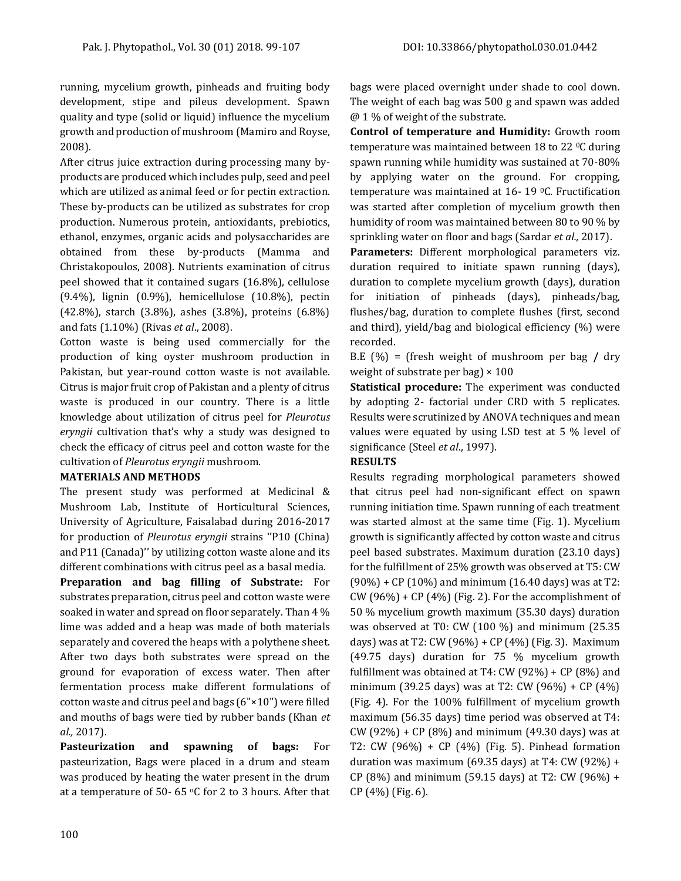running, mycelium growth, pinheads and fruiting body development, stipe and pileus development. Spawn quality and type (solid or liquid) influence the mycelium growth and production of mushroom (Mamiro and Royse, 2008).

After citrus juice extraction during processing many byproducts are produced which includes pulp, seed and peel which are utilized as animal feed or for pectin extraction. These by-products can be utilized as substrates for crop production. Numerous protein, antioxidants, prebiotics, ethanol, enzymes, organic acids and polysaccharides are obtained from these by-products (Mamma and Christakopoulos, 2008). Nutrients examination of citrus peel showed that it contained sugars (16.8%), cellulose (9.4%), lignin (0.9%), hemicellulose (10.8%), pectin (42.8%), starch (3.8%), ashes (3.8%), proteins (6.8%) and fats (1.10%) (Rivas *et al*., 2008).

Cotton waste is being used commercially for the production of king oyster mushroom production in Pakistan, but year-round cotton waste is not available. Citrus is major fruit crop of Pakistan and a plenty of citrus waste is produced in our country. There is a little knowledge about utilization of citrus peel for *Pleurotus eryngii* cultivation that's why a study was designed to check the efficacy of citrus peel and cotton waste for the cultivation of *Pleurotus eryngii* mushroom.

#### **MATERIALS AND METHODS**

The present study was performed at Medicinal & Mushroom Lab, Institute of Horticultural Sciences, University of Agriculture, Faisalabad during 2016-2017 for production of *Pleurotus eryngii* strains ''P10 (China) and P11 (Canada)'' by utilizing cotton waste alone and its different combinations with citrus peel as a basal media.

**Preparation and bag filling of Substrate:** For substrates preparation, citrus peel and cotton waste were soaked in water and spread on floor separately. Than 4 % lime was added and a heap was made of both materials separately and covered the heaps with a polythene sheet. After two days both substrates were spread on the ground for evaporation of excess water. Then after fermentation process make different formulations of cotton waste and citrus peel and bags (6"×10") were filled and mouths of bags were tied by rubber bands (Khan *et al.,* 2017).

**Pasteurization and spawning of bags:** For pasteurization, Bags were placed in a drum and steam was produced by heating the water present in the drum at a temperature of 50- 65  $\circ$ C for 2 to 3 hours. After that bags were placed overnight under shade to cool down. The weight of each bag was 500 g and spawn was added @ 1 % of weight of the substrate.

**Control of temperature and Humidity:** Growth room temperature was maintained between 18 to 22 °C during spawn running while humidity was sustained at 70-80% by applying water on the ground. For cropping, temperature was maintained at 16- 19 0C. Fructification was started after completion of mycelium growth then humidity of room was maintained between 80 to 90 % by sprinkling water on floor and bags (Sardar *et al.,* 2017).

**Parameters:** Different morphological parameters viz. duration required to initiate spawn running (days), duration to complete mycelium growth (days), duration for initiation of pinheads (days), pinheads/bag, flushes/bag, duration to complete flushes (first, second and third), yield/bag and biological efficiency (%) were recorded.

B.E (%) = (fresh weight of mushroom per bag **/** dry weight of substrate per bag)  $\times$  100

**Statistical procedure:** The experiment was conducted by adopting 2- factorial under CRD with 5 replicates. Results were scrutinized by ANOVA techniques and mean values were equated by using LSD test at 5 % level of significance (Steel *et al*., 1997).

# **RESULTS**

Results regrading morphological parameters showed that citrus peel had non-significant effect on spawn running initiation time. Spawn running of each treatment was started almost at the same time (Fig. 1). Mycelium growth is significantly affected by cotton waste and citrus peel based substrates. Maximum duration (23.10 days) for the fulfillment of 25% growth was observed at T5: CW (90%) + CP (10%) and minimum (16.40 days) was at T2: CW  $(96%)$  + CP  $(4%)$  (Fig. 2). For the accomplishment of 50 % mycelium growth maximum (35.30 days) duration was observed at T0: CW (100 %) and minimum (25.35 days) was at T2: CW (96%) + CP (4%) (Fig. 3). Maximum (49.75 days) duration for 75 % mycelium growth fulfillment was obtained at T4: CW  $(92%) + CP (8%)$  and minimum (39.25 days) was at T2: CW (96%) + CP (4%) (Fig. 4). For the 100% fulfillment of mycelium growth maximum (56.35 days) time period was observed at T4:  $CW$  (92%) + CP (8%) and minimum (49.30 days) was at T2: CW (96%) + CP (4%) (Fig. 5). Pinhead formation duration was maximum (69.35 days) at T4: CW (92%) + CP (8%) and minimum (59.15 days) at T2: CW (96%) + CP (4%) (Fig. 6).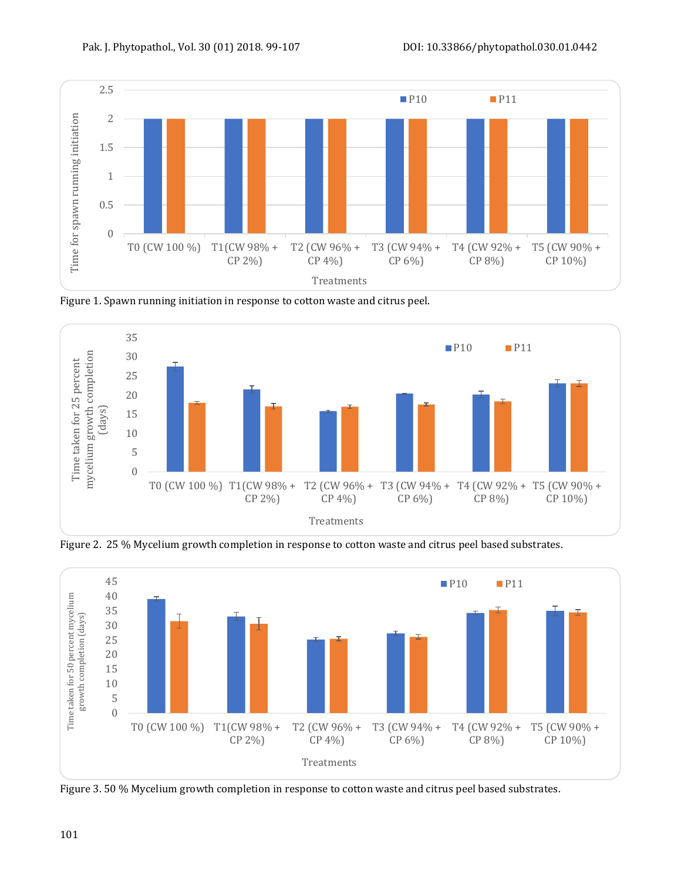

Figure 1. Spawn running initiation in response to cotton waste and citrus peel.



Figure 2. 25 % Mycelium growth completion in response to cotton waste and citrus peel based substrates.



Figure 3. 50 % Mycelium growth completion in response to cotton waste and citrus peel based substrates.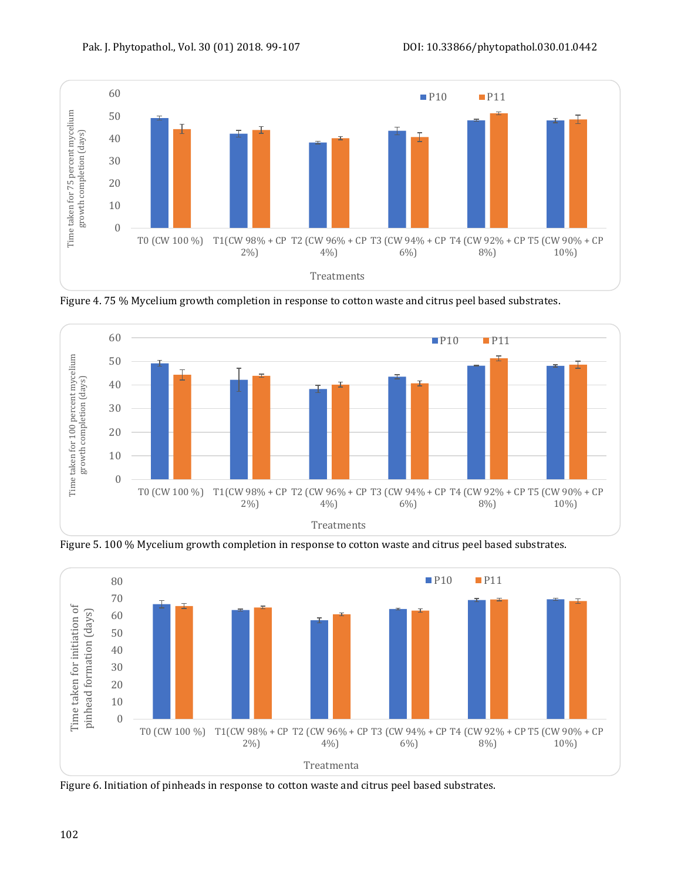

Figure 4. 75 % Mycelium growth completion in response to cotton waste and citrus peel based substrates.



Figure 5. 100 % Mycelium growth completion in response to cotton waste and citrus peel based substrates.



Figure 6. Initiation of pinheads in response to cotton waste and citrus peel based substrates.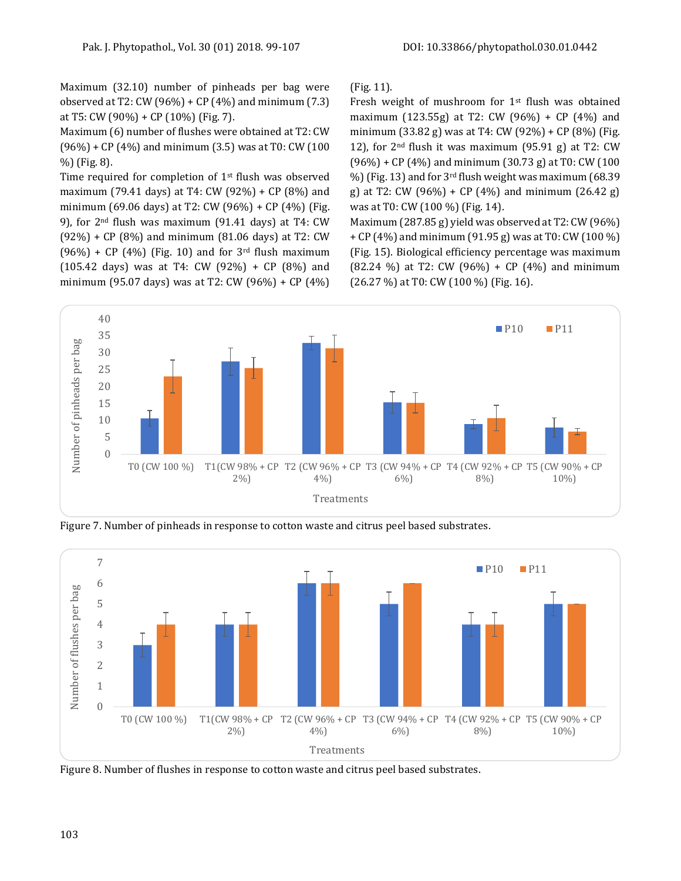Maximum (32.10) number of pinheads per bag were observed at T2: CW (96%) + CP (4%) and minimum (7.3) at T5: CW (90%) + CP (10%) (Fig. 7).

Maximum (6) number of flushes were obtained at T2: CW (96%) + CP (4%) and minimum (3.5) was at T0: CW (100 %) (Fig. 8).

Time required for completion of 1<sup>st</sup> flush was observed maximum (79.41 days) at T4: CW (92%) + CP (8%) and minimum (69.06 days) at T2: CW (96%) + CP (4%) (Fig. 9), for 2nd flush was maximum (91.41 days) at T4: CW (92%) + CP (8%) and minimum (81.06 days) at T2: CW  $(96%) + CP (4%)$  (Fig. 10) and for 3<sup>rd</sup> flush maximum (105.42 days) was at T4: CW (92%) + CP (8%) and minimum (95.07 days) was at T2: CW (96%) + CP (4%) (Fig. 11).

Fresh weight of mushroom for 1<sup>st</sup> flush was obtained maximum (123.55g) at T2: CW (96%) + CP (4%) and minimum (33.82 g) was at T4: CW (92%) + CP (8%) (Fig. 12), for  $2<sup>nd</sup>$  flush it was maximum (95.91 g) at T2: CW  $(96%) + CP (4%)$  and minimum  $(30.73 g)$  at T0: CW  $(100 g)$ %) (Fig. 13) and for 3rd flush weight was maximum (68.39 g) at T2: CW  $(96\%) + CP$   $(4\%)$  and minimum  $(26.42 \text{ g})$ was at T0: CW (100 %) (Fig. 14).

Maximum (287.85 g) yield was observed at T2: CW (96%) + CP (4%) and minimum (91.95 g) was at T0: CW (100 %) (Fig. 15). Biological efficiency percentage was maximum  $(82.24 \%)$  at T2: CW  $(96\%)$  + CP  $(4\%)$  and minimum (26.27 %) at T0: CW (100 %) (Fig. 16).



Figure 7. Number of pinheads in response to cotton waste and citrus peel based substrates.



Figure 8. Number of flushes in response to cotton waste and citrus peel based substrates.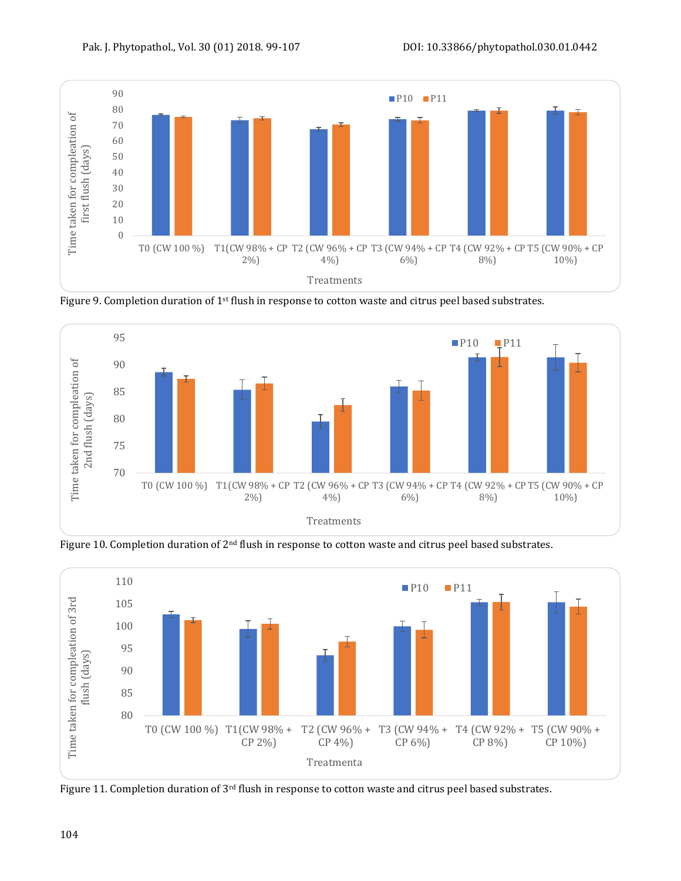

Figure 9. Completion duration of 1st flush in response to cotton waste and citrus peel based substrates.



Figure 10. Completion duration of 2<sup>nd</sup> flush in response to cotton waste and citrus peel based substrates.



Figure 11. Completion duration of 3<sup>rd</sup> flush in response to cotton waste and citrus peel based substrates.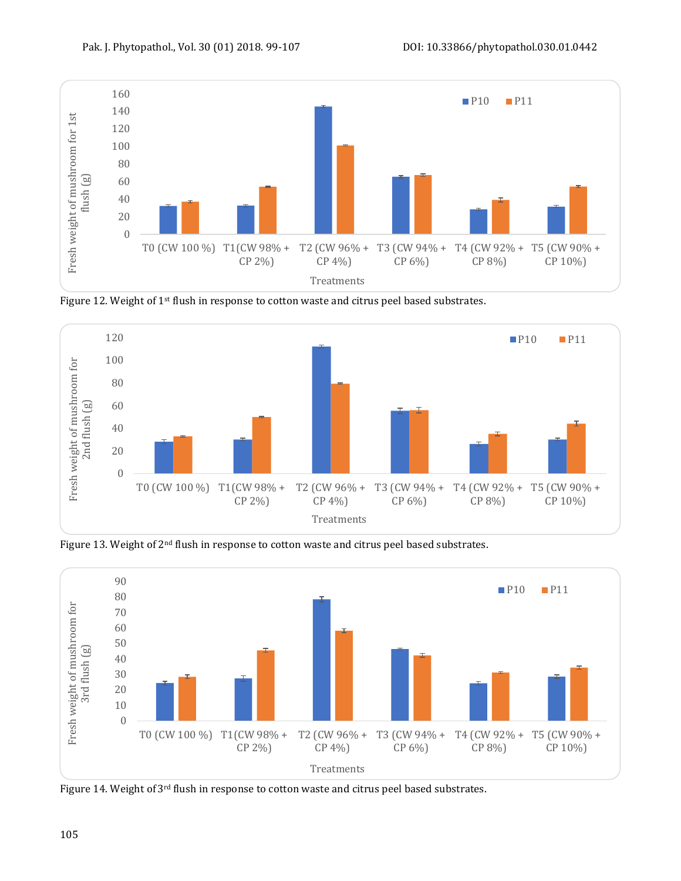

Figure 12. Weight of 1st flush in response to cotton waste and citrus peel based substrates.



Figure 13. Weight of 2<sup>nd</sup> flush in response to cotton waste and citrus peel based substrates.



Figure 14. Weight of 3rd flush in response to cotton waste and citrus peel based substrates.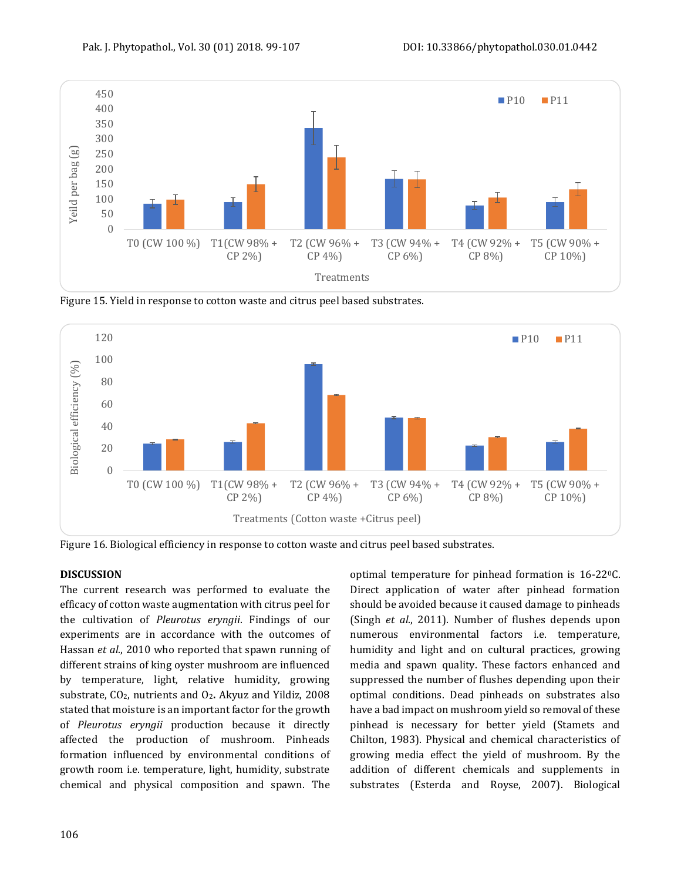

Figure 15. Yield in response to cotton waste and citrus peel based substrates.



Figure 16. Biological efficiency in response to cotton waste and citrus peel based substrates.

#### **DISCUSSION**

The current research was performed to evaluate the efficacy of cotton waste augmentation with citrus peel for the cultivation of *Pleurotus eryngii*. Findings of our experiments are in accordance with the outcomes of Hassan *et al*., 2010 who reported that spawn running of different strains of king oyster mushroom are influenced by temperature, light, relative humidity, growing substrate, CO2, nutrients and O2**.** Akyuz and Yildiz, 2008 stated that moisture is an important factor for the growth of *Pleurotus eryngii* production because it directly affected the production of mushroom. Pinheads formation influenced by environmental conditions of growth room i.e. temperature, light, humidity, substrate chemical and physical composition and spawn. The

optimal temperature for pinhead formation is 16-220C. Direct application of water after pinhead formation should be avoided because it caused damage to pinheads (Singh *et al*., 2011). Number of flushes depends upon numerous environmental factors i.e. temperature, humidity and light and on cultural practices, growing media and spawn quality. These factors enhanced and suppressed the number of flushes depending upon their optimal conditions. Dead pinheads on substrates also have a bad impact on mushroom yield so removal of these pinhead is necessary for better yield (Stamets and Chilton, 1983). Physical and chemical characteristics of growing media effect the yield of mushroom. By the addition of different chemicals and supplements in substrates (Esterda and Royse, 2007). Biological